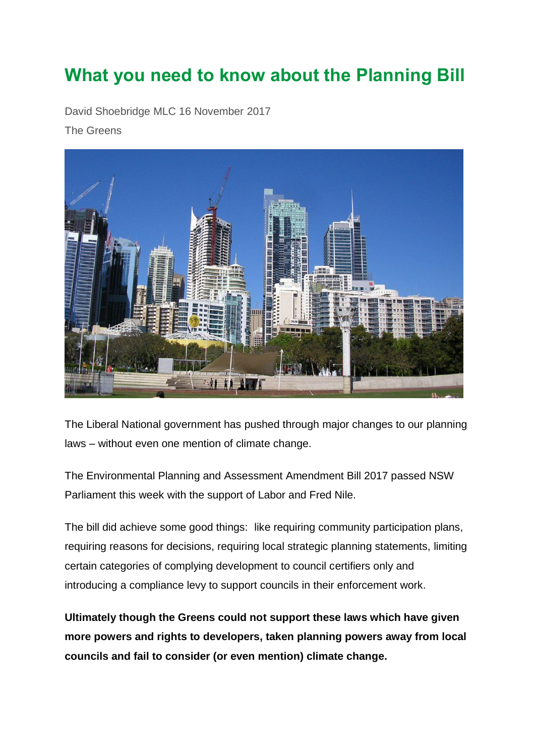## **What you need to know about the Planning Bill**

David Shoebridge MLC 16 November 2017

The Greens



The Liberal National government has pushed through major changes to our planning laws – without even one mention of climate change.

The Environmental Planning and Assessment Amendment Bill 2017 passed NSW Parliament this week with the support of Labor and Fred Nile.

The bill did achieve some good things: like requiring community participation plans, requiring reasons for decisions, requiring local strategic planning statements, limiting certain categories of complying development to council certifiers only and introducing a compliance levy to support councils in their enforcement work.

**Ultimately though the Greens could not support these laws which have given more powers and rights to developers, taken planning powers away from local councils and fail to consider (or even mention) climate change.**